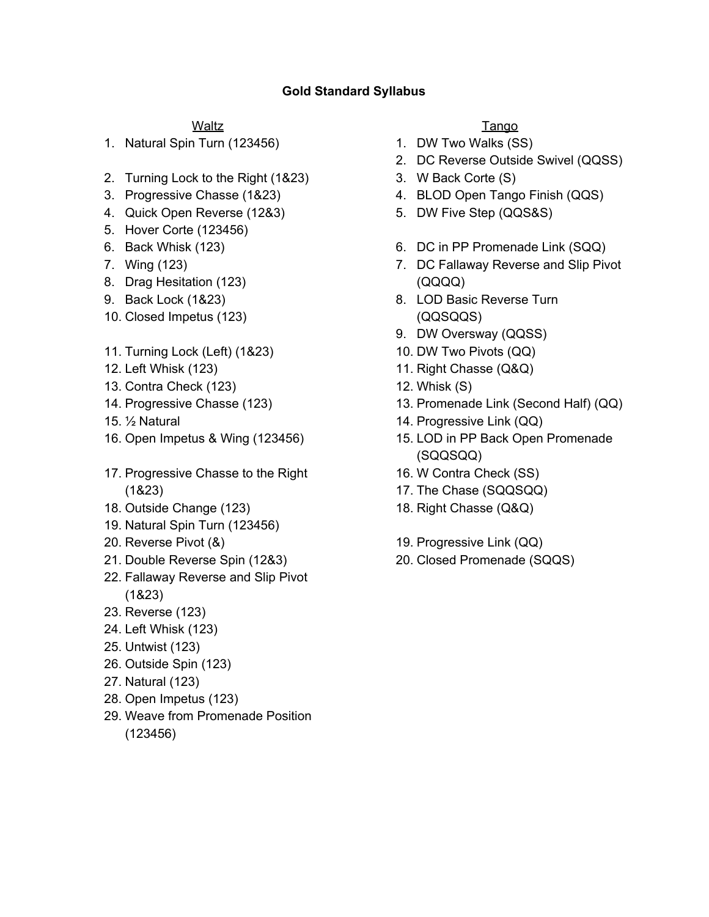# **Gold Standard Syllabus**

### **Waltz**

1. Natural Spin Turn (123456)

- 2. Turning Lock to the Right (1&23)
- 3. Progressive Chasse (1&23)
- 4. Quick Open Reverse (12&3)
- 5. Hover Corte (123456)
- 6. Back Whisk (123)
- 7. Wing (123)
- 8. Drag Hesitation (123)
- 9. Back Lock (1&23)
- 10. Closed Impetus (123)
- 11. Turning Lock (Left) (1&23)
- 12. Left Whisk (123)
- 13. Contra Check (123)
- 14. Progressive Chasse (123)
- 15. ½ Natural
- 16. Open Impetus & Wing (123456)
- 17. Progressive Chasse to the Right (1&23)
- 18. Outside Change (123)
- 19. Natural Spin Turn (123456)
- 20. Reverse Pivot (&)
- 21. Double Reverse Spin (12&3)
- 22. Fallaway Reverse and Slip Pivot (1&23)
- 23. Reverse (123)
- 24. Left Whisk (123)
- 25. Untwist (123)
- 26. Outside Spin (123)
- 27. Natural (123)
- 28. Open Impetus (123)
- 29. Weave from Promenade Position (123456)

## **Tango**

- 1. DW Two Walks (SS)
- 2. DC Reverse Outside Swivel (QQSS)
- 3. W Back Corte (S)
- 4. BLOD Open Tango Finish (QQS)
- 5. DW Five Step (QQS&S)
- 6. DC in PP Promenade Link (SQQ)
- 7. DC Fallaway Reverse and Slip Pivot (QQQQ)
- 8. LOD Basic Reverse Turn (QQSQQS)
- 9. DW Oversway (QQSS)
- 10. DW Two Pivots (QQ)
- 11. Right Chasse (Q&Q)
- 12. Whisk (S)
- 13. Promenade Link (Second Half) (QQ)
- 14. Progressive Link (QQ)
- 15. LOD in PP Back Open Promenade (SQQSQQ)
- 16. W Contra Check (SS)
- 17. The Chase (SQQSQQ)
- 18. Right Chasse (Q&Q)
- 19. Progressive Link (QQ)
- 20. Closed Promenade (SQQS)